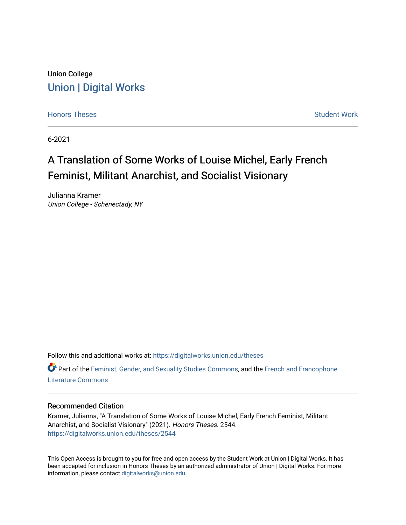# Union College [Union | Digital Works](https://digitalworks.union.edu/)

[Honors Theses](https://digitalworks.union.edu/theses) **Student Work** [Student Work](https://digitalworks.union.edu/studentwork) **Student Work** Student Work

6-2021

# A Translation of Some Works of Louise Michel, Early French Feminist, Militant Anarchist, and Socialist Visionary

Julianna Kramer Union College - Schenectady, NY

Follow this and additional works at: [https://digitalworks.union.edu/theses](https://digitalworks.union.edu/theses?utm_source=digitalworks.union.edu%2Ftheses%2F2544&utm_medium=PDF&utm_campaign=PDFCoverPages) 

Part of the [Feminist, Gender, and Sexuality Studies Commons](http://network.bepress.com/hgg/discipline/559?utm_source=digitalworks.union.edu%2Ftheses%2F2544&utm_medium=PDF&utm_campaign=PDFCoverPages), and the [French and Francophone](http://network.bepress.com/hgg/discipline/465?utm_source=digitalworks.union.edu%2Ftheses%2F2544&utm_medium=PDF&utm_campaign=PDFCoverPages) [Literature Commons](http://network.bepress.com/hgg/discipline/465?utm_source=digitalworks.union.edu%2Ftheses%2F2544&utm_medium=PDF&utm_campaign=PDFCoverPages) 

#### Recommended Citation

Kramer, Julianna, "A Translation of Some Works of Louise Michel, Early French Feminist, Militant Anarchist, and Socialist Visionary" (2021). Honors Theses. 2544. [https://digitalworks.union.edu/theses/2544](https://digitalworks.union.edu/theses/2544?utm_source=digitalworks.union.edu%2Ftheses%2F2544&utm_medium=PDF&utm_campaign=PDFCoverPages)

This Open Access is brought to you for free and open access by the Student Work at Union | Digital Works. It has been accepted for inclusion in Honors Theses by an authorized administrator of Union | Digital Works. For more information, please contact [digitalworks@union.edu.](mailto:digitalworks@union.edu)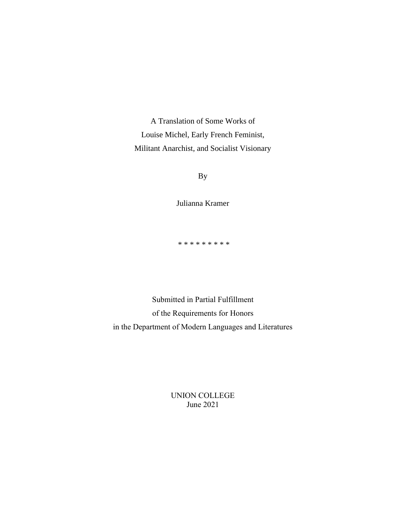A Translation of Some Works of Louise Michel, Early French Feminist, Militant Anarchist, and Socialist Visionary

By

Julianna Kramer

\* \* \* \* \* \* \* \* \*

Submitted in Partial Fulfillment of the Requirements for Honors in the Department of Modern Languages and Literatures

> UNION COLLEGE June 2021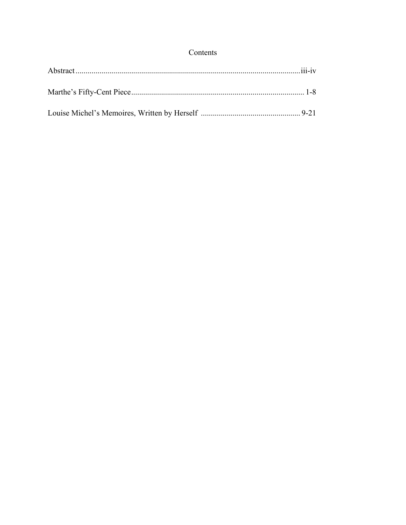# Contents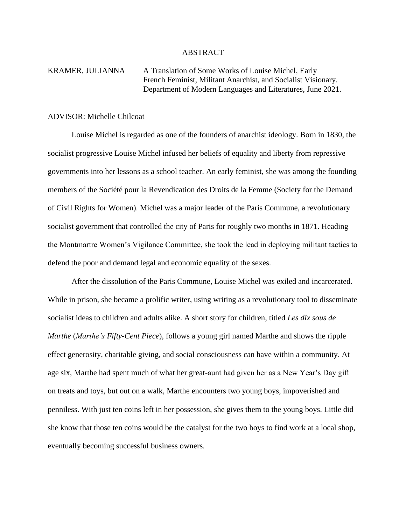# ABSTRACT

# KRAMER, JULIANNA A Translation of Some Works of Louise Michel, Early French Feminist, Militant Anarchist, and Socialist Visionary. Department of Modern Languages and Literatures, June 2021.

### ADVISOR: Michelle Chilcoat

Louise Michel is regarded as one of the founders of anarchist ideology. Born in 1830, the socialist progressive Louise Michel infused her beliefs of equality and liberty from repressive governments into her lessons as a school teacher. An early feminist, she was among the founding members of the Société pour la Revendication des Droits de la Femme (Society for the Demand of Civil Rights for Women). Michel was a major leader of the Paris Commune, a revolutionary socialist government that controlled the city of Paris for roughly two months in 1871. Heading the Montmartre Women's Vigilance Committee, she took the lead in deploying militant tactics to defend the poor and demand legal and economic equality of the sexes.

After the dissolution of the Paris Commune, Louise Michel was exiled and incarcerated. While in prison, she became a prolific writer, using writing as a revolutionary tool to disseminate socialist ideas to children and adults alike. A short story for children, titled *Les dix sous de Marthe* (*Marthe's Fifty-Cent Piece*), follows a young girl named Marthe and shows the ripple effect generosity, charitable giving, and social consciousness can have within a community. At age six, Marthe had spent much of what her great-aunt had given her as a New Year's Day gift on treats and toys, but out on a walk, Marthe encounters two young boys, impoverished and penniless. With just ten coins left in her possession, she gives them to the young boys. Little did she know that those ten coins would be the catalyst for the two boys to find work at a local shop, eventually becoming successful business owners.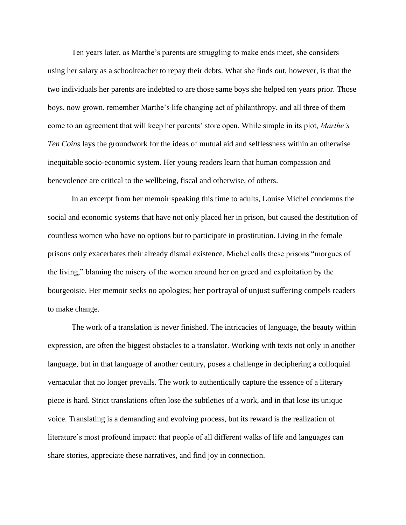Ten years later, as Marthe's parents are struggling to make ends meet, she considers using her salary as a schoolteacher to repay their debts. What she finds out, however, is that the two individuals her parents are indebted to are those same boys she helped ten years prior. Those boys, now grown, remember Marthe's life changing act of philanthropy, and all three of them come to an agreement that will keep her parents' store open. While simple in its plot, *Marthe's Ten Coins* lays the groundwork for the ideas of mutual aid and selflessness within an otherwise inequitable socio-economic system. Her young readers learn that human compassion and benevolence are critical to the wellbeing, fiscal and otherwise, of others.

In an excerpt from her memoir speaking this time to adults, Louise Michel condemns the social and economic systems that have not only placed her in prison, but caused the destitution of countless women who have no options but to participate in prostitution. Living in the female prisons only exacerbates their already dismal existence. Michel calls these prisons "morgues of the living," blaming the misery of the women around her on greed and exploitation by the bourgeoisie. Her memoir seeks no apologies; her portrayal of unjust suffering compels readers to make change.

The work of a translation is never finished. The intricacies of language, the beauty within expression, are often the biggest obstacles to a translator. Working with texts not only in another language, but in that language of another century, poses a challenge in deciphering a colloquial vernacular that no longer prevails. The work to authentically capture the essence of a literary piece is hard. Strict translations often lose the subtleties of a work, and in that lose its unique voice. Translating is a demanding and evolving process, but its reward is the realization of literature's most profound impact: that people of all different walks of life and languages can share stories, appreciate these narratives, and find joy in connection.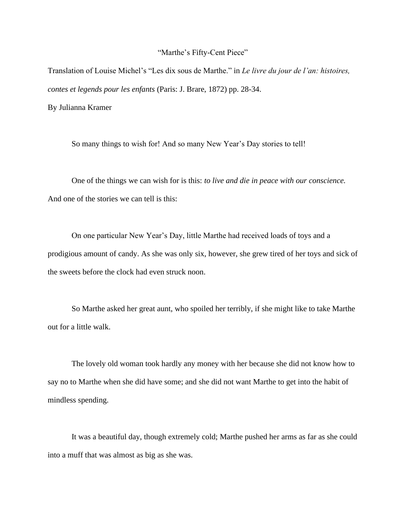#### "Marthe's Fifty-Cent Piece"

Translation of Louise Michel's "Les dix sous de Marthe." in *Le livre du jour de l'an: histoires, contes et legends pour les enfants* (Paris: J. Brare, 1872) pp. 28-34. By Julianna Kramer

So many things to wish for! And so many New Year's Day stories to tell!

One of the things we can wish for is this: *to live and die in peace with our conscience.* And one of the stories we can tell is this:

On one particular New Year's Day, little Marthe had received loads of toys and a prodigious amount of candy. As she was only six, however, she grew tired of her toys and sick of the sweets before the clock had even struck noon.

So Marthe asked her great aunt, who spoiled her terribly, if she might like to take Marthe out for a little walk.

The lovely old woman took hardly any money with her because she did not know how to say no to Marthe when she did have some; and she did not want Marthe to get into the habit of mindless spending.

It was a beautiful day, though extremely cold; Marthe pushed her arms as far as she could into a muff that was almost as big as she was.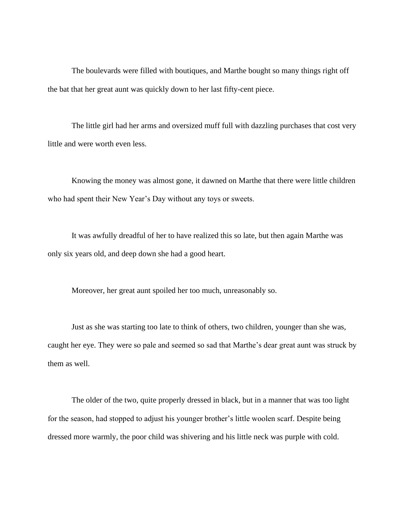The boulevards were filled with boutiques, and Marthe bought so many things right off the bat that her great aunt was quickly down to her last fifty-cent piece.

The little girl had her arms and oversized muff full with dazzling purchases that cost very little and were worth even less.

Knowing the money was almost gone, it dawned on Marthe that there were little children who had spent their New Year's Day without any toys or sweets.

It was awfully dreadful of her to have realized this so late, but then again Marthe was only six years old, and deep down she had a good heart.

Moreover, her great aunt spoiled her too much, unreasonably so.

Just as she was starting too late to think of others, two children, younger than she was, caught her eye. They were so pale and seemed so sad that Marthe's dear great aunt was struck by them as well.

The older of the two, quite properly dressed in black, but in a manner that was too light for the season, had stopped to adjust his younger brother's little woolen scarf. Despite being dressed more warmly, the poor child was shivering and his little neck was purple with cold.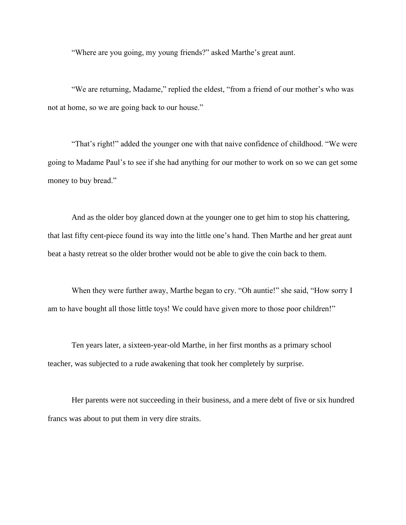"Where are you going, my young friends?" asked Marthe's great aunt.

"We are returning, Madame," replied the eldest, "from a friend of our mother's who was not at home, so we are going back to our house."

"That's right!" added the younger one with that naive confidence of childhood. "We were going to Madame Paul's to see if she had anything for our mother to work on so we can get some money to buy bread."

And as the older boy glanced down at the younger one to get him to stop his chattering, that last fifty cent-piece found its way into the little one's hand. Then Marthe and her great aunt beat a hasty retreat so the older brother would not be able to give the coin back to them.

When they were further away, Marthe began to cry. "Oh auntie!" she said, "How sorry I am to have bought all those little toys! We could have given more to those poor children!"

Ten years later, a sixteen-year-old Marthe, in her first months as a primary school teacher, was subjected to a rude awakening that took her completely by surprise.

Her parents were not succeeding in their business, and a mere debt of five or six hundred francs was about to put them in very dire straits.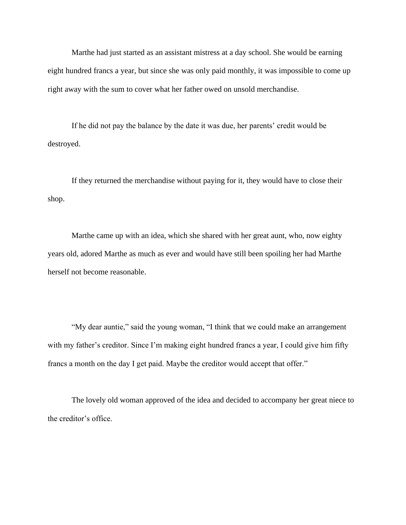Marthe had just started as an assistant mistress at a day school. She would be earning eight hundred francs a year, but since she was only paid monthly, it was impossible to come up right away with the sum to cover what her father owed on unsold merchandise.

If he did not pay the balance by the date it was due, her parents' credit would be destroyed.

If they returned the merchandise without paying for it, they would have to close their shop.

Marthe came up with an idea, which she shared with her great aunt, who, now eighty years old, adored Marthe as much as ever and would have still been spoiling her had Marthe herself not become reasonable.

"My dear auntie," said the young woman, "I think that we could make an arrangement with my father's creditor. Since I'm making eight hundred francs a year, I could give him fifty francs a month on the day I get paid. Maybe the creditor would accept that offer."

The lovely old woman approved of the idea and decided to accompany her great niece to the creditor's office.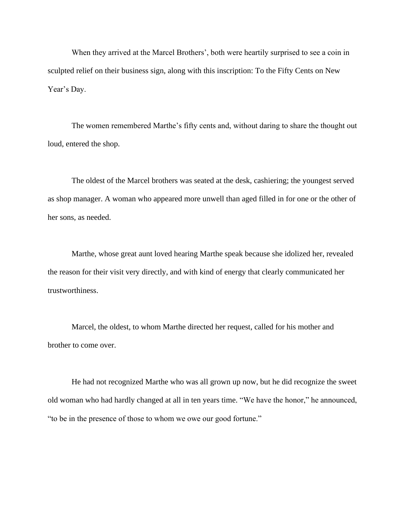When they arrived at the Marcel Brothers', both were heartily surprised to see a coin in sculpted relief on their business sign, along with this inscription: To the Fifty Cents on New Year's Day.

The women remembered Marthe's fifty cents and, without daring to share the thought out loud, entered the shop.

The oldest of the Marcel brothers was seated at the desk, cashiering; the youngest served as shop manager. A woman who appeared more unwell than aged filled in for one or the other of her sons, as needed.

Marthe, whose great aunt loved hearing Marthe speak because she idolized her, revealed the reason for their visit very directly, and with kind of energy that clearly communicated her trustworthiness.

Marcel, the oldest, to whom Marthe directed her request, called for his mother and brother to come over.

He had not recognized Marthe who was all grown up now, but he did recognize the sweet old woman who had hardly changed at all in ten years time. "We have the honor," he announced, "to be in the presence of those to whom we owe our good fortune."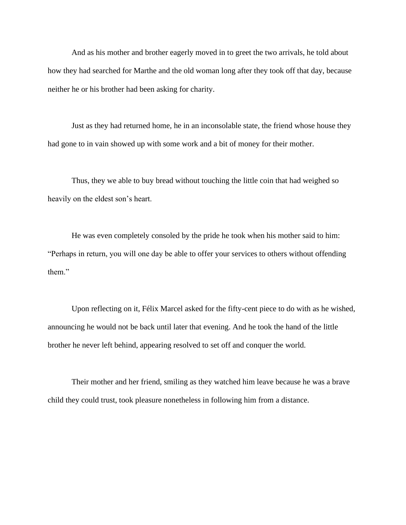And as his mother and brother eagerly moved in to greet the two arrivals, he told about how they had searched for Marthe and the old woman long after they took off that day, because neither he or his brother had been asking for charity.

Just as they had returned home, he in an inconsolable state, the friend whose house they had gone to in vain showed up with some work and a bit of money for their mother.

Thus, they we able to buy bread without touching the little coin that had weighed so heavily on the eldest son's heart.

He was even completely consoled by the pride he took when his mother said to him: "Perhaps in return, you will one day be able to offer your services to others without offending them."

Upon reflecting on it, Félix Marcel asked for the fifty-cent piece to do with as he wished, announcing he would not be back until later that evening. And he took the hand of the little brother he never left behind, appearing resolved to set off and conquer the world.

Their mother and her friend, smiling as they watched him leave because he was a brave child they could trust, took pleasure nonetheless in following him from a distance.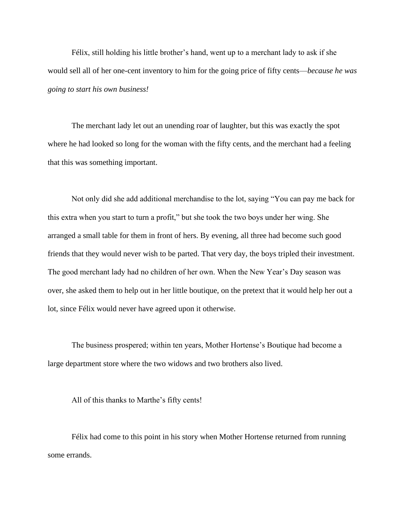Félix, still holding his little brother's hand, went up to a merchant lady to ask if she would sell all of her one-cent inventory to him for the going price of fifty cents—*because he was going to start his own business!*

The merchant lady let out an unending roar of laughter, but this was exactly the spot where he had looked so long for the woman with the fifty cents, and the merchant had a feeling that this was something important.

Not only did she add additional merchandise to the lot, saying "You can pay me back for this extra when you start to turn a profit," but she took the two boys under her wing. She arranged a small table for them in front of hers. By evening, all three had become such good friends that they would never wish to be parted. That very day, the boys tripled their investment. The good merchant lady had no children of her own. When the New Year's Day season was over, she asked them to help out in her little boutique, on the pretext that it would help her out a lot, since Félix would never have agreed upon it otherwise.

The business prospered; within ten years, Mother Hortense's Boutique had become a large department store where the two widows and two brothers also lived.

All of this thanks to Marthe's fifty cents!

Félix had come to this point in his story when Mother Hortense returned from running some errands.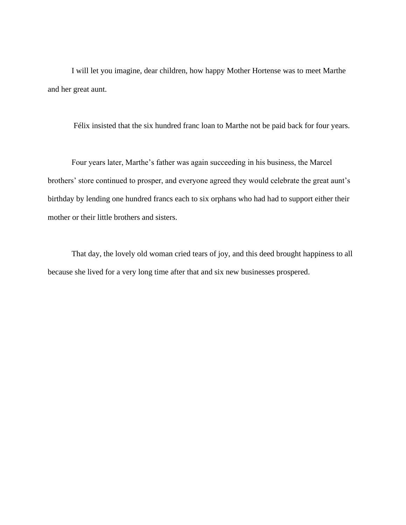I will let you imagine, dear children, how happy Mother Hortense was to meet Marthe and her great aunt.

Félix insisted that the six hundred franc loan to Marthe not be paid back for four years.

Four years later, Marthe's father was again succeeding in his business, the Marcel brothers' store continued to prosper, and everyone agreed they would celebrate the great aunt's birthday by lending one hundred francs each to six orphans who had had to support either their mother or their little brothers and sisters.

That day, the lovely old woman cried tears of joy, and this deed brought happiness to all because she lived for a very long time after that and six new businesses prospered.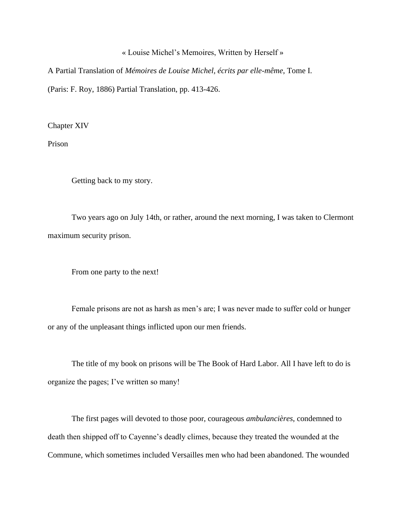#### « Louise Michel's Memoires, Written by Herself »

A Partial Translation of *Mémoires de Louise Michel, écrits par elle-même*, Tome I. (Paris: F. Roy, 1886) Partial Translation, pp. 413-426.

Chapter XIV

Prison

Getting back to my story.

Two years ago on July 14th, or rather, around the next morning, I was taken to Clermont maximum security prison.

From one party to the next!

Female prisons are not as harsh as men's are; I was never made to suffer cold or hunger or any of the unpleasant things inflicted upon our men friends.

The title of my book on prisons will be The Book of Hard Labor. All I have left to do is organize the pages; I've written so many!

The first pages will devoted to those poor, courageous *ambulancières*, condemned to death then shipped off to Cayenne's deadly climes, because they treated the wounded at the Commune, which sometimes included Versailles men who had been abandoned. The wounded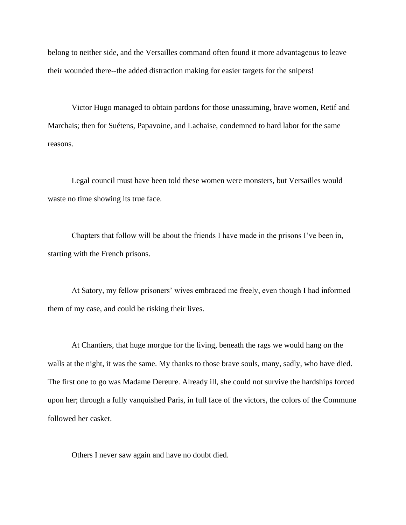belong to neither side, and the Versailles command often found it more advantageous to leave their wounded there--the added distraction making for easier targets for the snipers!

Victor Hugo managed to obtain pardons for those unassuming, brave women, Retif and Marchais; then for Suétens, Papavoine, and Lachaise, condemned to hard labor for the same reasons.

Legal council must have been told these women were monsters, but Versailles would waste no time showing its true face.

Chapters that follow will be about the friends I have made in the prisons I've been in, starting with the French prisons.

At Satory, my fellow prisoners' wives embraced me freely, even though I had informed them of my case, and could be risking their lives.

At Chantiers, that huge morgue for the living, beneath the rags we would hang on the walls at the night, it was the same. My thanks to those brave souls, many, sadly, who have died. The first one to go was Madame Dereure. Already ill, she could not survive the hardships forced upon her; through a fully vanquished Paris, in full face of the victors, the colors of the Commune followed her casket.

Others I never saw again and have no doubt died.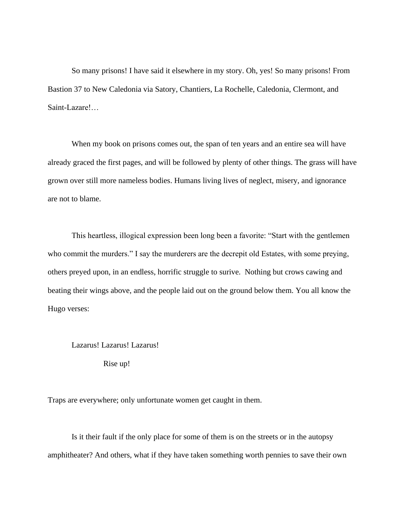So many prisons! I have said it elsewhere in my story. Oh, yes! So many prisons! From Bastion 37 to New Caledonia via Satory, Chantiers, La Rochelle, Caledonia, Clermont, and Saint-Lazare!…

When my book on prisons comes out, the span of ten years and an entire sea will have already graced the first pages, and will be followed by plenty of other things. The grass will have grown over still more nameless bodies. Humans living lives of neglect, misery, and ignorance are not to blame.

This heartless, illogical expression been long been a favorite: "Start with the gentlemen who commit the murders." I say the murderers are the decrepit old Estates, with some preying, others preyed upon, in an endless, horrific struggle to surive. Nothing but crows cawing and beating their wings above, and the people laid out on the ground below them. You all know the Hugo verses:

#### Lazarus! Lazarus! Lazarus!

Rise up!

Traps are everywhere; only unfortunate women get caught in them.

Is it their fault if the only place for some of them is on the streets or in the autopsy amphitheater? And others, what if they have taken something worth pennies to save their own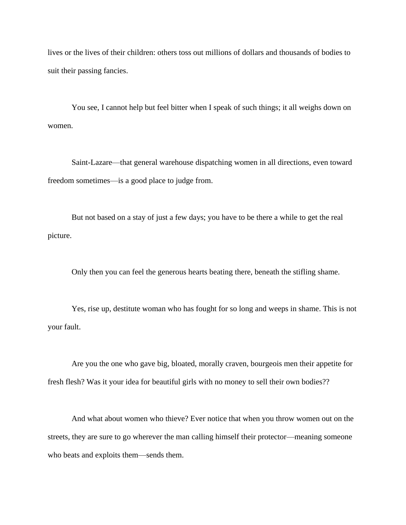lives or the lives of their children: others toss out millions of dollars and thousands of bodies to suit their passing fancies.

You see, I cannot help but feel bitter when I speak of such things; it all weighs down on women.

Saint-Lazare—that general warehouse dispatching women in all directions, even toward freedom sometimes—is a good place to judge from.

But not based on a stay of just a few days; you have to be there a while to get the real picture.

Only then you can feel the generous hearts beating there, beneath the stifling shame.

Yes, rise up, destitute woman who has fought for so long and weeps in shame. This is not your fault.

Are you the one who gave big, bloated, morally craven, bourgeois men their appetite for fresh flesh? Was it your idea for beautiful girls with no money to sell their own bodies??

And what about women who thieve? Ever notice that when you throw women out on the streets, they are sure to go wherever the man calling himself their protector—meaning someone who beats and exploits them—sends them.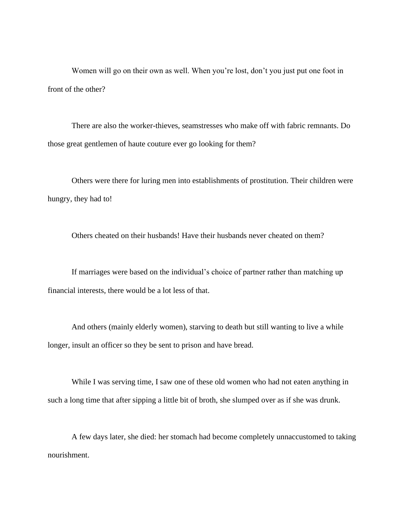Women will go on their own as well. When you're lost, don't you just put one foot in front of the other?

There are also the worker-thieves, seamstresses who make off with fabric remnants. Do those great gentlemen of haute couture ever go looking for them?

Others were there for luring men into establishments of prostitution. Their children were hungry, they had to!

Others cheated on their husbands! Have their husbands never cheated on them?

If marriages were based on the individual's choice of partner rather than matching up financial interests, there would be a lot less of that.

And others (mainly elderly women), starving to death but still wanting to live a while longer, insult an officer so they be sent to prison and have bread.

While I was serving time, I saw one of these old women who had not eaten anything in such a long time that after sipping a little bit of broth, she slumped over as if she was drunk.

A few days later, she died: her stomach had become completely unnaccustomed to taking nourishment.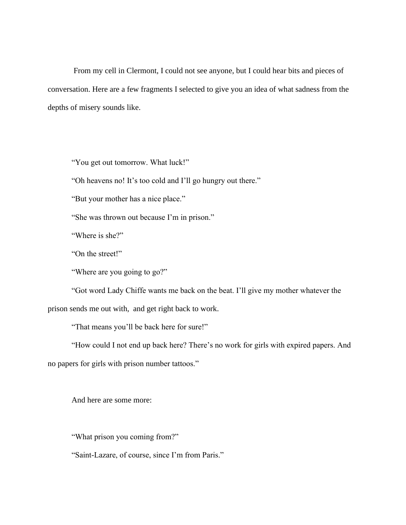From my cell in Clermont, I could not see anyone, but I could hear bits and pieces of conversation. Here are a few fragments I selected to give you an idea of what sadness from the depths of misery sounds like.

"You get out tomorrow. What luck!"

"Oh heavens no! It's too cold and I'll go hungry out there."

"But your mother has a nice place."

"She was thrown out because I'm in prison."

"Where is she?"

"On the street!"

"Where are you going to go?"

"Got word Lady Chiffe wants me back on the beat. I'll give my mother whatever the prison sends me out with, and get right back to work.

"That means you'll be back here for sure!"

"How could I not end up back here? There's no work for girls with expired papers. And no papers for girls with prison number tattoos."

And here are some more:

"What prison you coming from?"

"Saint-Lazare, of course, since I'm from Paris."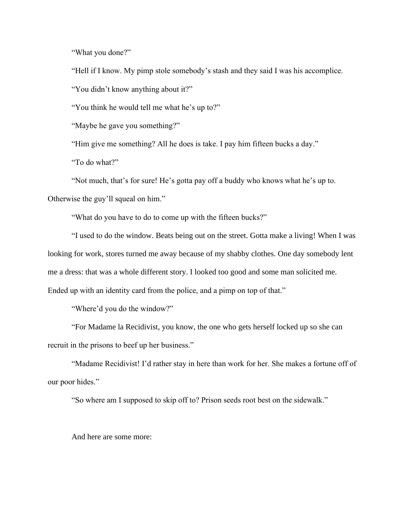"What you done?"

"Hell if I know. My pimp stole somebody's stash and they said I was his accomplice.

"You didn't know anything about it?"

"You think he would tell me what he's up to?"

"Maybe he gave you something?"

"Him give me something? All he does is take. I pay him fifteen bucks a day."

"To do what?"

"Not much, that's for sure! He's gotta pay off a buddy who knows what he's up to.

Otherwise the guy'll squeal on him."

"What do you have to do to come up with the fifteen bucks?"

"I used to do the window. Beats being out on the street. Gotta make a living! When I was looking for work, stores turned me away because of my shabby clothes. One day somebody lent me a dress: that was a whole different story. I looked too good and some man solicited me. Ended up with an identity card from the police, and a pimp on top of that."

"Where'd you do the window?"

"For Madame la Recidivist, you know, the one who gets herself locked up so she can recruit in the prisons to beef up her business."

"Madame Recidivist! I'd rather stay in here than work for her. She makes a fortune off of our poor hides."

"So where am I supposed to skip off to? Prison seeds root best on the sidewalk."

And here are some more: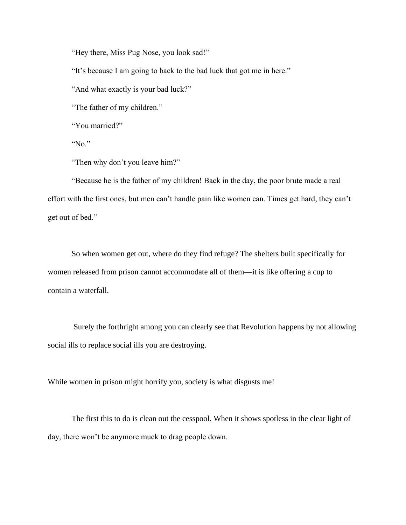"Hey there, Miss Pug Nose, you look sad!"

"It's because I am going to back to the bad luck that got me in here."

"And what exactly is your bad luck?"

"The father of my children."

"You married?"

"No."

"Then why don't you leave him?"

"Because he is the father of my children! Back in the day, the poor brute made a real effort with the first ones, but men can't handle pain like women can. Times get hard, they can't get out of bed."

So when women get out, where do they find refuge? The shelters built specifically for women released from prison cannot accommodate all of them—it is like offering a cup to contain a waterfall.

Surely the forthright among you can clearly see that Revolution happens by not allowing social ills to replace social ills you are destroying.

While women in prison might horrify you, society is what disgusts me!

The first this to do is clean out the cesspool. When it shows spotless in the clear light of day, there won't be anymore muck to drag people down.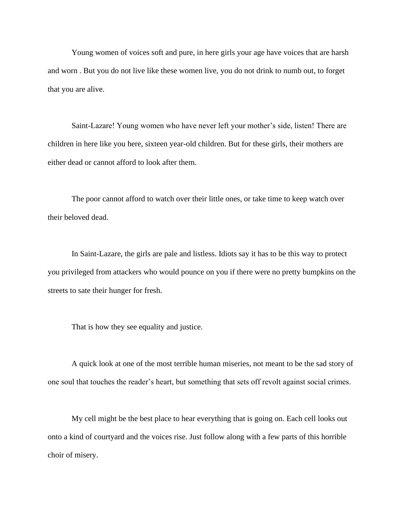Young women of voices soft and pure, in here girls your age have voices that are harsh and worn . But you do not live like these women live, you do not drink to numb out, to forget that you are alive.

Saint-Lazare! Young women who have never left your mother's side, listen! There are children in here like you here, sixteen year-old children. But for these girls, their mothers are either dead or cannot afford to look after them.

The poor cannot afford to watch over their little ones, or take time to keep watch over their beloved dead.

In Saint-Lazare, the girls are pale and listless. Idiots say it has to be this way to protect you privileged from attackers who would pounce on you if there were no pretty bumpkins on the streets to sate their hunger for fresh.

That is how they see equality and justice.

A quick look at one of the most terrible human miseries, not meant to be the sad story of one soul that touches the reader's heart, but something that sets off revolt against social crimes.

My cell might be the best place to hear everything that is going on. Each cell looks out onto a kind of courtyard and the voices rise. Just follow along with a few parts of this horrible choir of misery.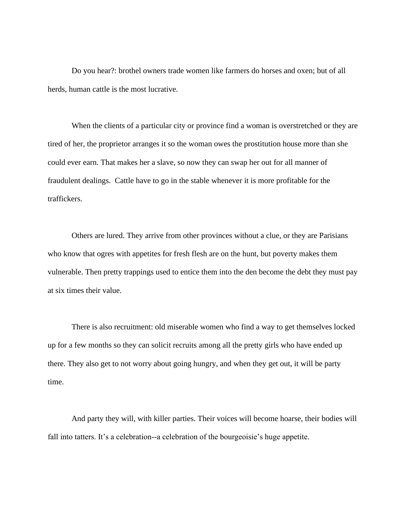Do you hear?: brothel owners trade women like farmers do horses and oxen; but of all herds, human cattle is the most lucrative.

When the clients of a particular city or province find a woman is overstretched or they are tired of her, the proprietor arranges it so the woman owes the prostitution house more than she could ever earn. That makes her a slave, so now they can swap her out for all manner of fraudulent dealings. Cattle have to go in the stable whenever it is more profitable for the traffickers.

Others are lured. They arrive from other provinces without a clue, or they are Parisians who know that ogres with appetites for fresh flesh are on the hunt, but poverty makes them vulnerable. Then pretty trappings used to entice them into the den become the debt they must pay at six times their value.

There is also recruitment: old miserable women who find a way to get themselves locked up for a few months so they can solicit recruits among all the pretty girls who have ended up there. They also get to not worry about going hungry, and when they get out, it will be party time.

And party they will, with killer parties. Their voices will become hoarse, their bodies will fall into tatters. It's a celebration--a celebration of the bourgeoisie's huge appetite.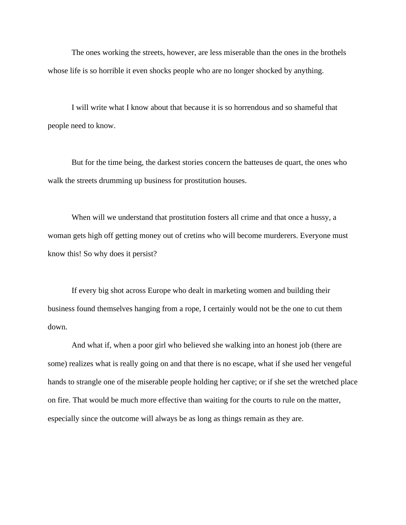The ones working the streets, however, are less miserable than the ones in the brothels whose life is so horrible it even shocks people who are no longer shocked by anything.

I will write what I know about that because it is so horrendous and so shameful that people need to know.

But for the time being, the darkest stories concern the batteuses de quart, the ones who walk the streets drumming up business for prostitution houses.

When will we understand that prostitution fosters all crime and that once a hussy, a woman gets high off getting money out of cretins who will become murderers. Everyone must know this! So why does it persist?

If every big shot across Europe who dealt in marketing women and building their business found themselves hanging from a rope, I certainly would not be the one to cut them down.

And what if, when a poor girl who believed she walking into an honest job (there are some) realizes what is really going on and that there is no escape, what if she used her vengeful hands to strangle one of the miserable people holding her captive; or if she set the wretched place on fire. That would be much more effective than waiting for the courts to rule on the matter, especially since the outcome will always be as long as things remain as they are.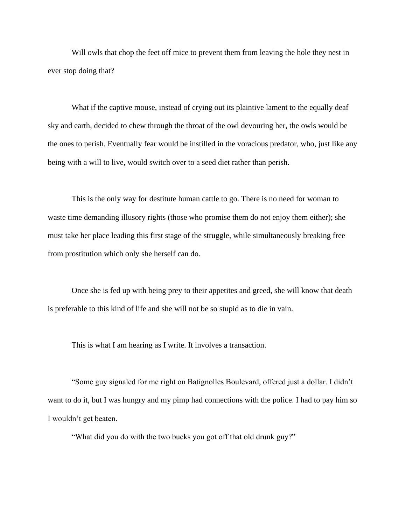Will owls that chop the feet off mice to prevent them from leaving the hole they nest in ever stop doing that?

What if the captive mouse, instead of crying out its plaintive lament to the equally deaf sky and earth, decided to chew through the throat of the owl devouring her, the owls would be the ones to perish. Eventually fear would be instilled in the voracious predator, who, just like any being with a will to live, would switch over to a seed diet rather than perish.

This is the only way for destitute human cattle to go. There is no need for woman to waste time demanding illusory rights (those who promise them do not enjoy them either); she must take her place leading this first stage of the struggle, while simultaneously breaking free from prostitution which only she herself can do.

Once she is fed up with being prey to their appetites and greed, she will know that death is preferable to this kind of life and she will not be so stupid as to die in vain.

This is what I am hearing as I write. It involves a transaction.

"Some guy signaled for me right on Batignolles Boulevard, offered just a dollar. I didn't want to do it, but I was hungry and my pimp had connections with the police. I had to pay him so I wouldn't get beaten.

"What did you do with the two bucks you got off that old drunk guy?"